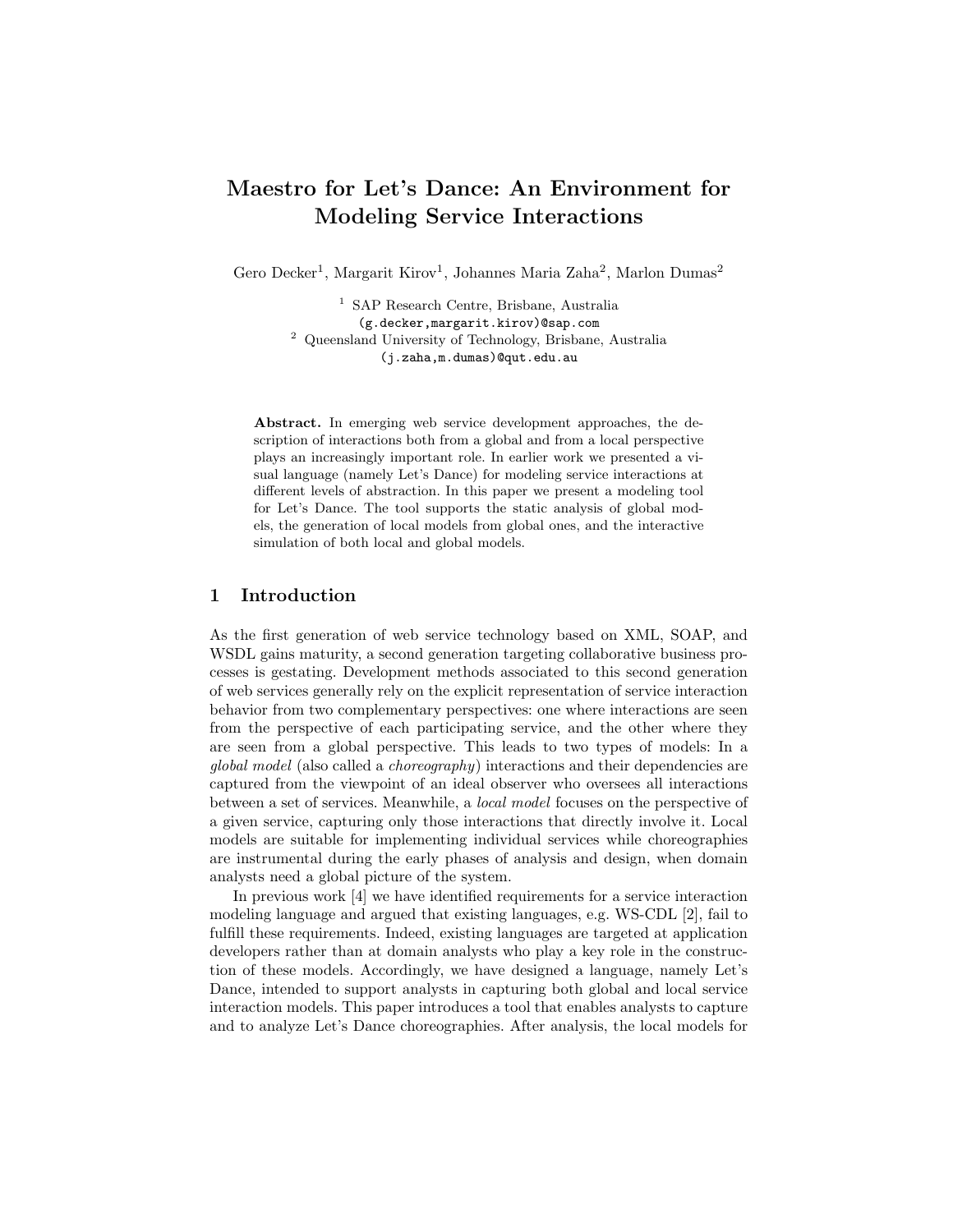# Maestro for Let's Dance: An Environment for Modeling Service Interactions

Gero Decker<sup>1</sup>, Margarit Kirov<sup>1</sup>, Johannes Maria Zaha<sup>2</sup>, Marlon Dumas<sup>2</sup>

<sup>1</sup> SAP Research Centre, Brisbane, Australia (g.decker,margarit.kirov)@sap.com <sup>2</sup> Queensland University of Technology, Brisbane, Australia (j.zaha,m.dumas)@qut.edu.au

Abstract. In emerging web service development approaches, the description of interactions both from a global and from a local perspective plays an increasingly important role. In earlier work we presented a visual language (namely Let's Dance) for modeling service interactions at different levels of abstraction. In this paper we present a modeling tool for Let's Dance. The tool supports the static analysis of global models, the generation of local models from global ones, and the interactive simulation of both local and global models.

## 1 Introduction

As the first generation of web service technology based on XML, SOAP, and WSDL gains maturity, a second generation targeting collaborative business processes is gestating. Development methods associated to this second generation of web services generally rely on the explicit representation of service interaction behavior from two complementary perspectives: one where interactions are seen from the perspective of each participating service, and the other where they are seen from a global perspective. This leads to two types of models: In a global model (also called a choreography) interactions and their dependencies are captured from the viewpoint of an ideal observer who oversees all interactions between a set of services. Meanwhile, a local model focuses on the perspective of a given service, capturing only those interactions that directly involve it. Local models are suitable for implementing individual services while choreographies are instrumental during the early phases of analysis and design, when domain analysts need a global picture of the system.

In previous work [4] we have identified requirements for a service interaction modeling language and argued that existing languages, e.g. WS-CDL [2], fail to fulfill these requirements. Indeed, existing languages are targeted at application developers rather than at domain analysts who play a key role in the construction of these models. Accordingly, we have designed a language, namely Let's Dance, intended to support analysts in capturing both global and local service interaction models. This paper introduces a tool that enables analysts to capture and to analyze Let's Dance choreographies. After analysis, the local models for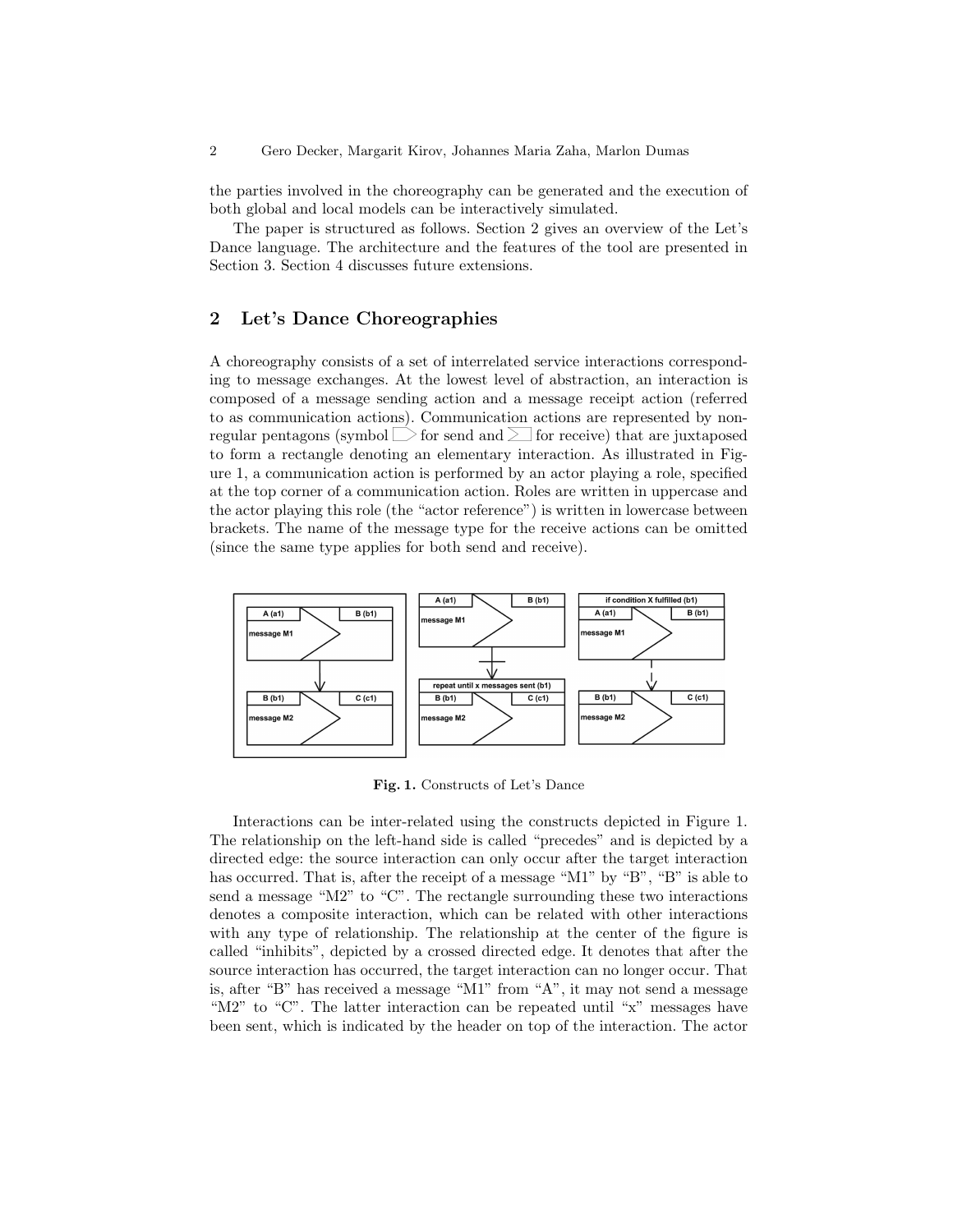the parties involved in the choreography can be generated and the execution of both global and local models can be interactively simulated.

The paper is structured as follows. Section 2 gives an overview of the Let's Dance language. The architecture and the features of the tool are presented in Section 3. Section 4 discusses future extensions.

## 2 Let's Dance Choreographies

A choreography consists of a set of interrelated service interactions corresponding to message exchanges. At the lowest level of abstraction, an interaction is composed of a message sending action and a message receipt action (referred to as communication actions). Communication actions are represented by nonregular pentagons (symbol  $\triangleright$  for send and  $\triangleright$  for receive) that are juxtaposed to form a rectangle denoting an elementary interaction. As illustrated in Figure 1, a communication action is performed by an actor playing a role, specified at the top corner of a communication action. Roles are written in uppercase and the actor playing this role (the "actor reference") is written in lowercase between brackets. The name of the message type for the receive actions can be omitted (since the same type applies for both send and receive).



Fig. 1. Constructs of Let's Dance

Interactions can be inter-related using the constructs depicted in Figure 1. The relationship on the left-hand side is called "precedes" and is depicted by a directed edge: the source interaction can only occur after the target interaction has occurred. That is, after the receipt of a message "M1" by "B", "B" is able to send a message "M2" to "C". The rectangle surrounding these two interactions denotes a composite interaction, which can be related with other interactions with any type of relationship. The relationship at the center of the figure is called "inhibits", depicted by a crossed directed edge. It denotes that after the source interaction has occurred, the target interaction can no longer occur. That is, after "B" has received a message "M1" from "A", it may not send a message "M2" to "C". The latter interaction can be repeated until "x" messages have been sent, which is indicated by the header on top of the interaction. The actor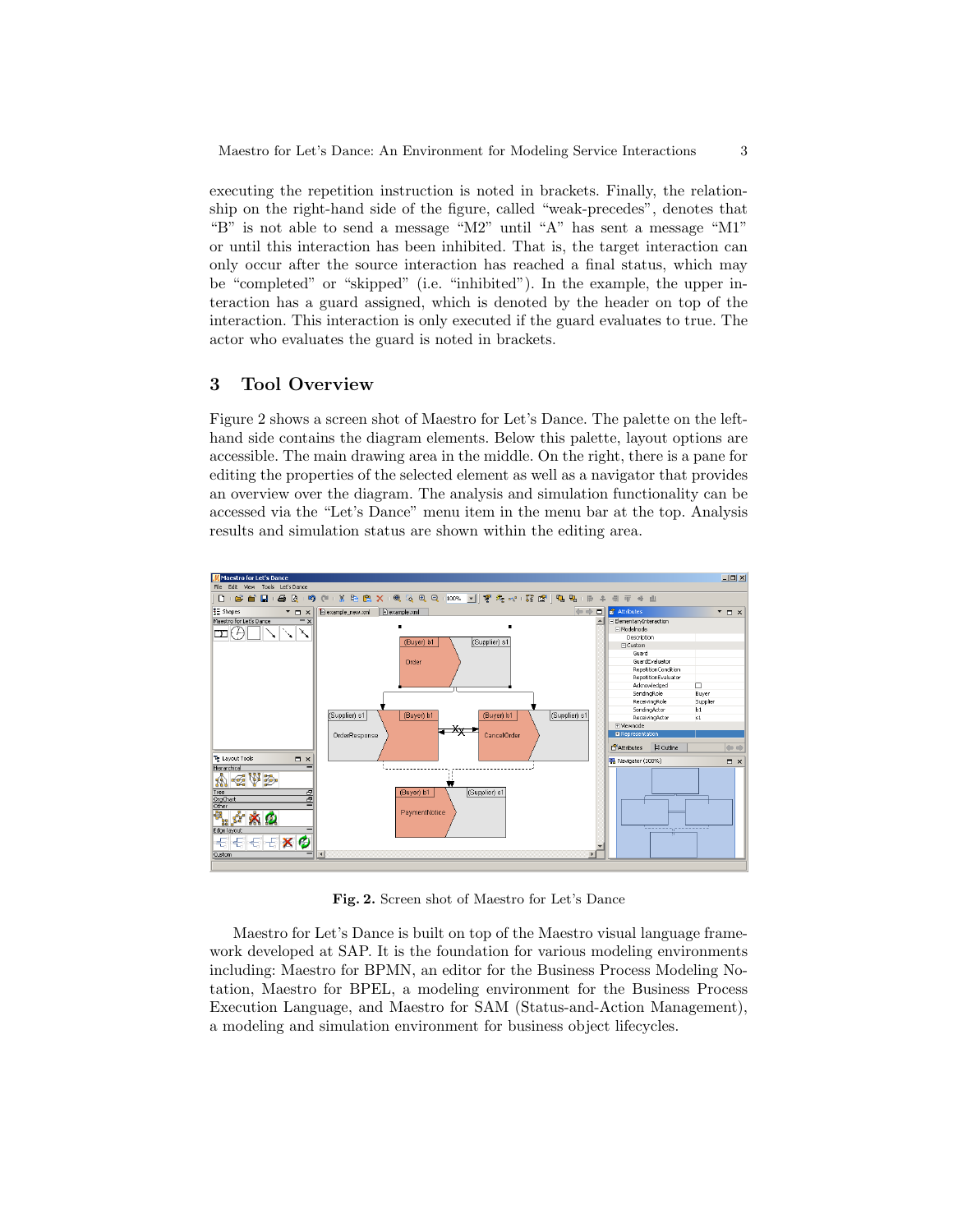executing the repetition instruction is noted in brackets. Finally, the relationship on the right-hand side of the figure, called "weak-precedes", denotes that "B" is not able to send a message "M2" until "A" has sent a message "M1" or until this interaction has been inhibited. That is, the target interaction can only occur after the source interaction has reached a final status, which may be "completed" or "skipped" (i.e. "inhibited"). In the example, the upper interaction has a guard assigned, which is denoted by the header on top of the interaction. This interaction is only executed if the guard evaluates to true. The actor who evaluates the guard is noted in brackets.

#### 3 Tool Overview

Figure 2 shows a screen shot of Maestro for Let's Dance. The palette on the lefthand side contains the diagram elements. Below this palette, layout options are accessible. The main drawing area in the middle. On the right, there is a pane for editing the properties of the selected element as well as a navigator that provides an overview over the diagram. The analysis and simulation functionality can be accessed via the "Let's Dance" menu item in the menu bar at the top. Analysis results and simulation status are shown within the editing area.



Fig. 2. Screen shot of Maestro for Let's Dance

Maestro for Let's Dance is built on top of the Maestro visual language framework developed at SAP. It is the foundation for various modeling environments including: Maestro for BPMN, an editor for the Business Process Modeling Notation, Maestro for BPEL, a modeling environment for the Business Process Execution Language, and Maestro for SAM (Status-and-Action Management), a modeling and simulation environment for business object lifecycles.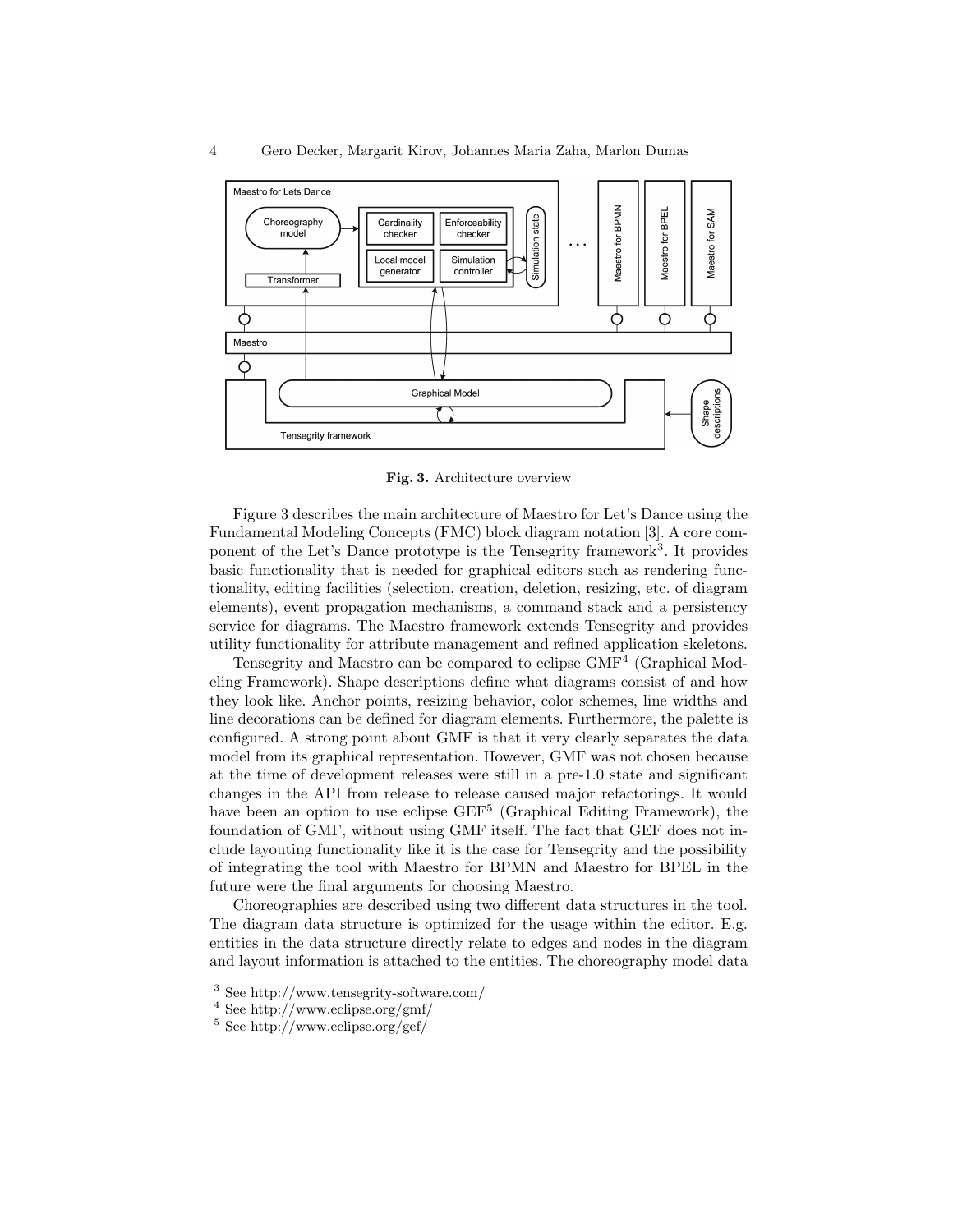

Fig. 3. Architecture overview

Figure 3 describes the main architecture of Maestro for Let's Dance using the Fundamental Modeling Concepts (FMC) block diagram notation [3]. A core component of the Let's Dance prototype is the Tensegrity framework<sup>3</sup>. It provides basic functionality that is needed for graphical editors such as rendering functionality, editing facilities (selection, creation, deletion, resizing, etc. of diagram elements), event propagation mechanisms, a command stack and a persistency service for diagrams. The Maestro framework extends Tensegrity and provides utility functionality for attribute management and refined application skeletons.

Tensegrity and Maestro can be compared to eclipse GMF<sup>4</sup> (Graphical Modeling Framework). Shape descriptions define what diagrams consist of and how they look like. Anchor points, resizing behavior, color schemes, line widths and line decorations can be defined for diagram elements. Furthermore, the palette is configured. A strong point about GMF is that it very clearly separates the data model from its graphical representation. However, GMF was not chosen because at the time of development releases were still in a pre-1.0 state and significant changes in the API from release to release caused major refactorings. It would have been an option to use eclipse GEF<sup>5</sup> (Graphical Editing Framework), the foundation of GMF, without using GMF itself. The fact that GEF does not include layouting functionality like it is the case for Tensegrity and the possibility of integrating the tool with Maestro for BPMN and Maestro for BPEL in the future were the final arguments for choosing Maestro.

Choreographies are described using two different data structures in the tool. The diagram data structure is optimized for the usage within the editor. E.g. entities in the data structure directly relate to edges and nodes in the diagram and layout information is attached to the entities. The choreography model data

<sup>3</sup> See http://www.tensegrity-software.com/

<sup>4</sup> See http://www.eclipse.org/gmf/

 $5$  See http://www.eclipse.org/gef/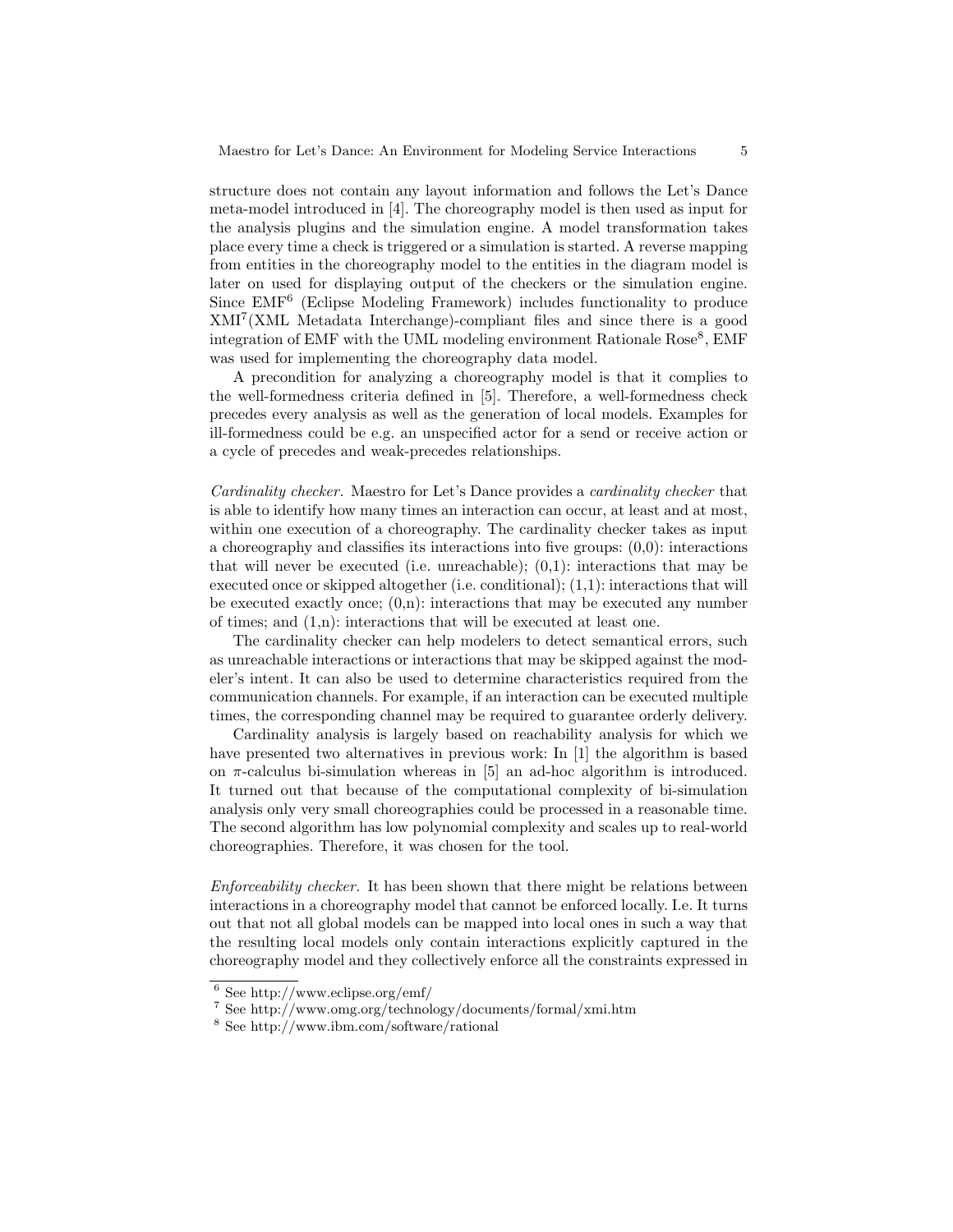structure does not contain any layout information and follows the Let's Dance meta-model introduced in [4]. The choreography model is then used as input for the analysis plugins and the simulation engine. A model transformation takes place every time a check is triggered or a simulation is started. A reverse mapping from entities in the choreography model to the entities in the diagram model is later on used for displaying output of the checkers or the simulation engine. Since EMF<sup>6</sup> (Eclipse Modeling Framework) includes functionality to produce XMI<sup>7</sup> (XML Metadata Interchange)-compliant files and since there is a good integration of EMF with the UML modeling environment Rationale Rose<sup>8</sup>, EMF was used for implementing the choreography data model.

A precondition for analyzing a choreography model is that it complies to the well-formedness criteria defined in [5]. Therefore, a well-formedness check precedes every analysis as well as the generation of local models. Examples for ill-formedness could be e.g. an unspecified actor for a send or receive action or a cycle of precedes and weak-precedes relationships.

Cardinality checker. Maestro for Let's Dance provides a cardinality checker that is able to identify how many times an interaction can occur, at least and at most, within one execution of a choreography. The cardinality checker takes as input a choreography and classifies its interactions into five groups: (0,0): interactions that will never be executed (i.e. unreachable);  $(0,1)$ : interactions that may be executed once or skipped altogether (i.e. conditional); (1,1): interactions that will be executed exactly once;  $(0,n)$ : interactions that may be executed any number of times; and (1,n): interactions that will be executed at least one.

The cardinality checker can help modelers to detect semantical errors, such as unreachable interactions or interactions that may be skipped against the modeler's intent. It can also be used to determine characteristics required from the communication channels. For example, if an interaction can be executed multiple times, the corresponding channel may be required to guarantee orderly delivery.

Cardinality analysis is largely based on reachability analysis for which we have presented two alternatives in previous work: In [1] the algorithm is based on  $\pi$ -calculus bi-simulation whereas in [5] an ad-hoc algorithm is introduced. It turned out that because of the computational complexity of bi-simulation analysis only very small choreographies could be processed in a reasonable time. The second algorithm has low polynomial complexity and scales up to real-world choreographies. Therefore, it was chosen for the tool.

Enforceability checker. It has been shown that there might be relations between interactions in a choreography model that cannot be enforced locally. I.e. It turns out that not all global models can be mapped into local ones in such a way that the resulting local models only contain interactions explicitly captured in the choreography model and they collectively enforce all the constraints expressed in

<sup>6</sup> See http://www.eclipse.org/emf/

<sup>7</sup> See http://www.omg.org/technology/documents/formal/xmi.htm

<sup>8</sup> See http://www.ibm.com/software/rational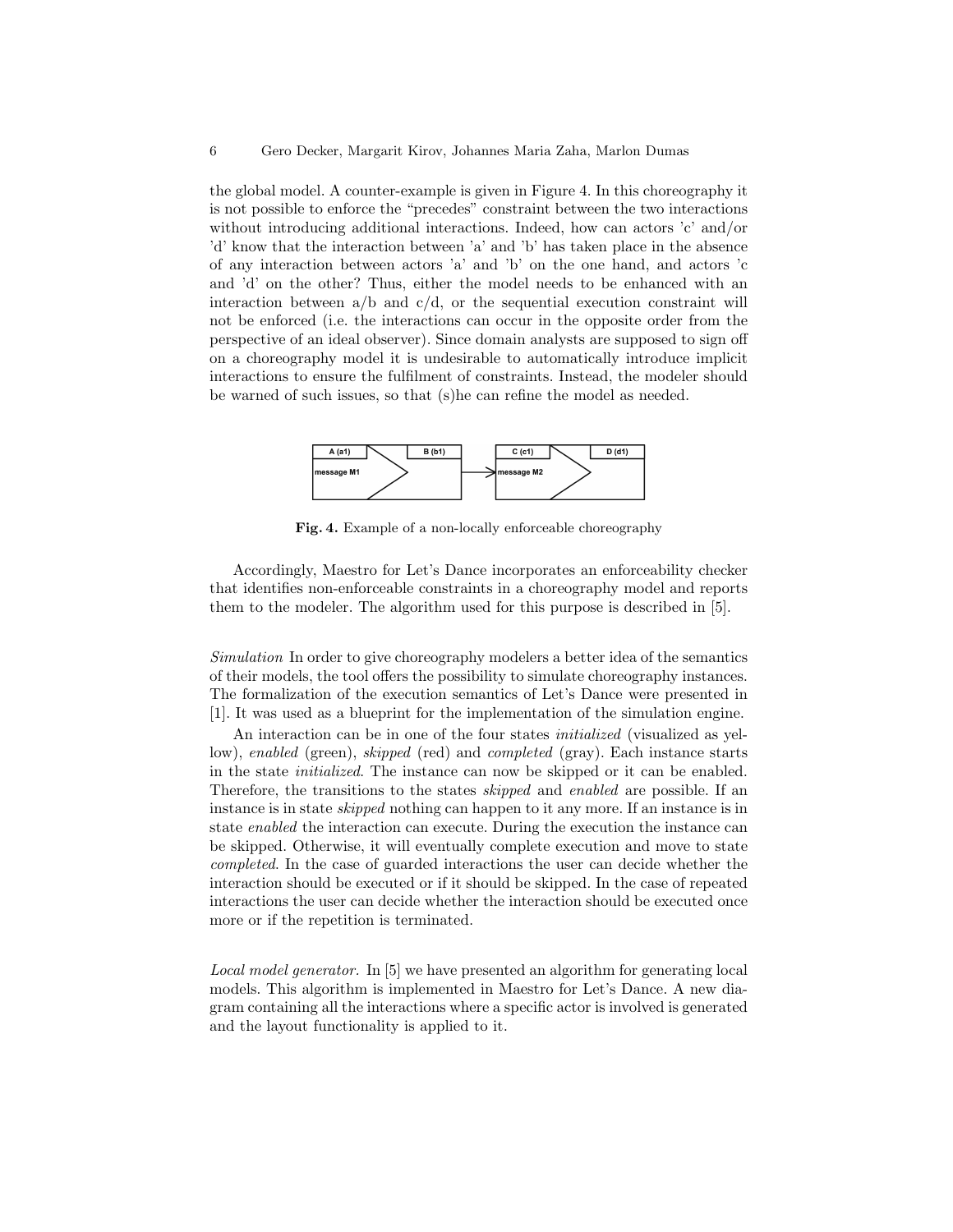the global model. A counter-example is given in Figure 4. In this choreography it is not possible to enforce the "precedes" constraint between the two interactions without introducing additional interactions. Indeed, how can actors 'c' and/or 'd' know that the interaction between 'a' and 'b' has taken place in the absence of any interaction between actors 'a' and 'b' on the one hand, and actors 'c and 'd' on the other? Thus, either the model needs to be enhanced with an interaction between  $a/b$  and  $c/d$ , or the sequential execution constraint will not be enforced (i.e. the interactions can occur in the opposite order from the perspective of an ideal observer). Since domain analysts are supposed to sign off on a choreography model it is undesirable to automatically introduce implicit interactions to ensure the fulfilment of constraints. Instead, the modeler should be warned of such issues, so that (s)he can refine the model as needed.



Fig. 4. Example of a non-locally enforceable choreography

Accordingly, Maestro for Let's Dance incorporates an enforceability checker that identifies non-enforceable constraints in a choreography model and reports them to the modeler. The algorithm used for this purpose is described in [5].

Simulation In order to give choreography modelers a better idea of the semantics of their models, the tool offers the possibility to simulate choreography instances. The formalization of the execution semantics of Let's Dance were presented in [1]. It was used as a blueprint for the implementation of the simulation engine.

An interaction can be in one of the four states initialized (visualized as yellow), enabled (green), skipped (red) and completed (gray). Each instance starts in the state initialized. The instance can now be skipped or it can be enabled. Therefore, the transitions to the states skipped and enabled are possible. If an instance is in state skipped nothing can happen to it any more. If an instance is in state enabled the interaction can execute. During the execution the instance can be skipped. Otherwise, it will eventually complete execution and move to state completed. In the case of guarded interactions the user can decide whether the interaction should be executed or if it should be skipped. In the case of repeated interactions the user can decide whether the interaction should be executed once more or if the repetition is terminated.

Local model generator. In [5] we have presented an algorithm for generating local models. This algorithm is implemented in Maestro for Let's Dance. A new diagram containing all the interactions where a specific actor is involved is generated and the layout functionality is applied to it.